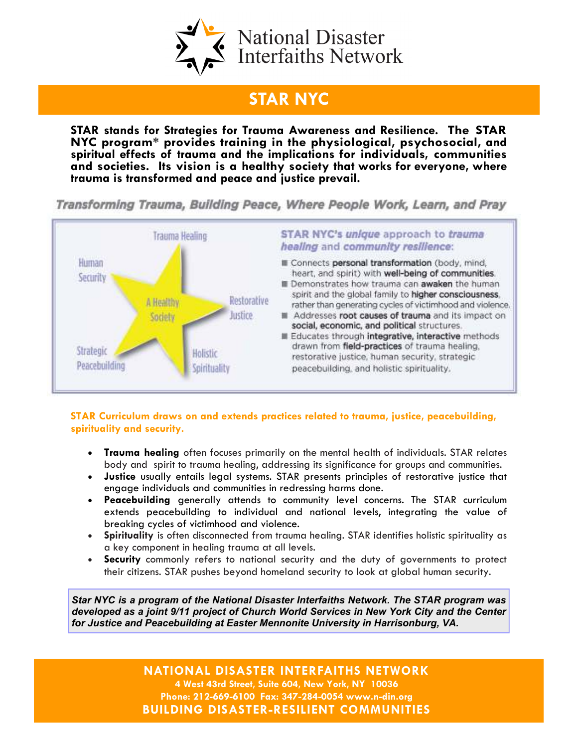

## STAR NYC

STAR stands for Strategies for Trauma Awareness and Resilience. The STAR NYC program\* provides training in the physiological, psychosocial, and spiritual effects of trauma and the implications for individuals, communities and societies. Its vision is a healthy society that works for everyone, where trauma is transformed and peace and justice prevail.

Transforming Trauma, Building Peace, Where People Work, Learn, and Pray



## STAR Curriculum draws on and extends practices related to trauma, justice, peacebuilding, spirituality and security.

- Trauma healing often focuses primarily on the mental health of individuals. STAR relates body and spirit to trauma healing, addressing its significance for groups and communities.
- Justice usually entails legal systems. STAR presents principles of restorative justice that engage individuals and communities in redressing harms done.
- Peacebuilding generally attends to community level concerns. The STAR curriculum extends peacebuilding to individual and national levels, integrating the value of breaking cycles of victimhood and violence.
- Spirituality is often disconnected from trauma healing. STAR identifies holistic spirituality as a key component in healing trauma at all levels.
- Security commonly refers to national security and the duty of governments to protect their citizens. STAR pushes beyond homeland security to look at global human security.

Star NYC is a program of the National Disaster Interfaiths Network. The STAR program was developed as a joint 9/11 project of Church World Services in New York City and the Center for Justice and Peacebuilding at Easter Mennonite University in Harrisonburg, VA.

> NATIONAL DISASTER INTERFAITHS NETWORK 4 West 43rd Street, Suite 604, New York, NY 10036 Phone: 212-669-6100 Fax: 347-284-0054 www.n-din.org BUILDING DISASTER-RESILIENT COMMUNITIES